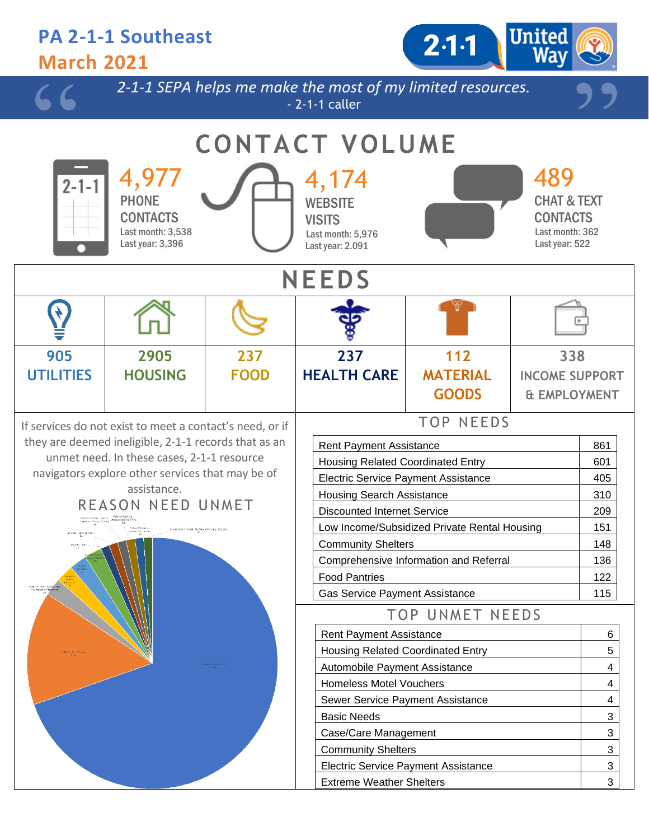| <b>March 2021</b>                          | <b>PA 2-1-1 Southeast</b>                                                                               |             |                                                                                   | $2.1 - 1$              | <b>United</b><br>Way                                                                  |                |  |  |  |  |  |
|--------------------------------------------|---------------------------------------------------------------------------------------------------------|-------------|-----------------------------------------------------------------------------------|------------------------|---------------------------------------------------------------------------------------|----------------|--|--|--|--|--|
|                                            |                                                                                                         |             | 2-1-1 SEPA helps me make the most of my limited resources.<br>$-2-1-1$ caller     |                        |                                                                                       |                |  |  |  |  |  |
| <b>CONTACT VOLUME</b>                      |                                                                                                         |             |                                                                                   |                        |                                                                                       |                |  |  |  |  |  |
| $2 - 1 - 1$                                | 4,977<br><b>PHONE</b><br><b>CONTACTS</b><br>Last month: 3,538<br>Last year: 3,396                       |             | 4,174<br><b>WEBSITE</b><br><b>VISITS</b><br>Last month: 5,976<br>Last year: 2.091 |                        | 489<br><b>CHAT &amp; TEXT</b><br><b>CONTACTS</b><br>Last month: 362<br>Last year: 522 |                |  |  |  |  |  |
|                                            | <b>NEEDS</b>                                                                                            |             |                                                                                   |                        |                                                                                       |                |  |  |  |  |  |
|                                            |                                                                                                         |             |                                                                                   |                        |                                                                                       |                |  |  |  |  |  |
| 905                                        | 2905                                                                                                    | 237         | 237                                                                               | 112                    | 338                                                                                   |                |  |  |  |  |  |
| <b>UTILITIES</b>                           | <b>HOUSING</b>                                                                                          | <b>FOOD</b> | <b>HEALTH CARE</b>                                                                | <b>MATERIAL</b>        | <b>INCOME SUPPORT</b>                                                                 |                |  |  |  |  |  |
|                                            |                                                                                                         |             |                                                                                   | <b>GOODS</b>           | & EMPLOYMENT                                                                          |                |  |  |  |  |  |
|                                            | If services do not exist to meet a contact's need, or if                                                |             |                                                                                   | <b>TOP NEEDS</b>       |                                                                                       |                |  |  |  |  |  |
|                                            | they are deemed ineligible, 2-1-1 records that as an                                                    |             | <b>Rent Payment Assistance</b>                                                    |                        |                                                                                       | 861            |  |  |  |  |  |
|                                            | unmet need. In these cases, 2-1-1 resource                                                              |             | Housing Related Coordinated Entry                                                 |                        |                                                                                       | 601            |  |  |  |  |  |
|                                            | navigators explore other services that may be of                                                        |             | <b>Electric Service Payment Assistance</b>                                        |                        |                                                                                       |                |  |  |  |  |  |
|                                            | assistance.<br>REASON NEED UNMET                                                                        |             | <b>Housing Search Assistance</b>                                                  | 310                    |                                                                                       |                |  |  |  |  |  |
|                                            | Refluent Senator - Agency - Unpoppetible Walt Tim<br>Republice / Senate Quality - Unpoppetible Walt Tim |             | <b>Discounted Internet Service</b>                                                |                        |                                                                                       | 209            |  |  |  |  |  |
|                                            | Arlund Renause -<br>Enterioble Location<br>Service Does Not Exist No Current Funding / Secrets          |             | Low Income/Subsidized Private Rental Housing                                      |                        |                                                                                       | 151            |  |  |  |  |  |
|                                            |                                                                                                         |             | <b>Community Shelters</b><br>Comprehensive Information and Referral               |                        |                                                                                       | 148<br>136     |  |  |  |  |  |
|                                            |                                                                                                         |             | <b>Food Pantries</b>                                                              |                        |                                                                                       | 122            |  |  |  |  |  |
| lgtin - Smt / Scoped<br>book to Most Need. |                                                                                                         |             | <b>Gas Service Payment Assistance</b>                                             |                        |                                                                                       | 115            |  |  |  |  |  |
|                                            |                                                                                                         |             |                                                                                   | <b>TOP UNMET NEEDS</b> |                                                                                       |                |  |  |  |  |  |
|                                            |                                                                                                         |             | <b>Rent Payment Assistance</b>                                                    |                        |                                                                                       | 6              |  |  |  |  |  |
|                                            |                                                                                                         |             | <b>Housing Related Coordinated Entry</b>                                          |                        |                                                                                       | 5              |  |  |  |  |  |
|                                            |                                                                                                         |             | Automobile Payment Assistance                                                     |                        |                                                                                       | 4              |  |  |  |  |  |
|                                            |                                                                                                         |             | <b>Homeless Motel Vouchers</b>                                                    |                        |                                                                                       | 4              |  |  |  |  |  |
|                                            |                                                                                                         |             | Sewer Service Payment Assistance                                                  |                        |                                                                                       | 4              |  |  |  |  |  |
|                                            |                                                                                                         |             | <b>Basic Needs</b><br>Case/Care Management                                        |                        |                                                                                       | 3<br>3         |  |  |  |  |  |
|                                            |                                                                                                         |             | <b>Community Shelters</b>                                                         |                        |                                                                                       | $\mathfrak{S}$ |  |  |  |  |  |
|                                            |                                                                                                         |             | <b>Electric Service Payment Assistance</b>                                        |                        |                                                                                       | $\mathfrak{S}$ |  |  |  |  |  |
|                                            |                                                                                                         |             | <b>Extreme Weather Shelters</b>                                                   |                        |                                                                                       | 3              |  |  |  |  |  |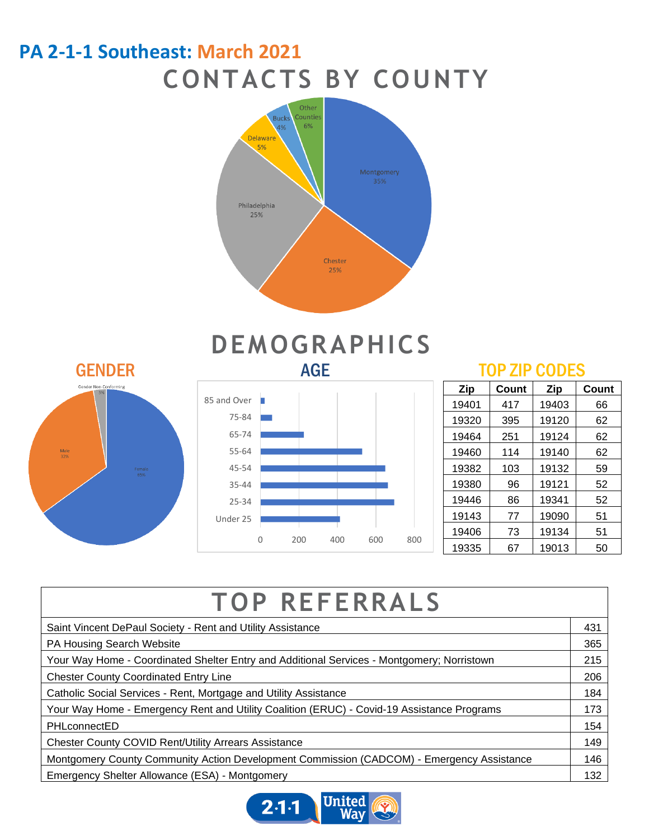### **PA 2-1-1 Southeast: March 2021 CONTACTS BY COUNTY**





# **DEMOGRAPHICS**



| Zip   | Count | <b>Zip</b> | Count |
|-------|-------|------------|-------|
| 19401 | 417   | 19403      | 66    |
| 19320 | 395   | 19120      | 62    |
| 19464 | 251   | 19124      | 62    |
| 19460 | 114   | 19140      | 62    |
| 19382 | 103   | 19132      | 59    |
| 19380 | 96    | 19121      | 52    |
| 19446 | 86    | 19341      | 52    |
| 19143 | 77    | 19090      | 51    |
| 19406 | 73    | 19134      | 51    |
| 19335 | 67    | 19013      | 50    |

| <b>TOP REFERRALS</b>                                                                       |     |
|--------------------------------------------------------------------------------------------|-----|
| Saint Vincent DePaul Society - Rent and Utility Assistance                                 |     |
| PA Housing Search Website                                                                  | 365 |
| Your Way Home - Coordinated Shelter Entry and Additional Services - Montgomery; Norristown |     |
| <b>Chester County Coordinated Entry Line</b>                                               |     |
| Catholic Social Services - Rent, Mortgage and Utility Assistance                           |     |
| Your Way Home - Emergency Rent and Utility Coalition (ERUC) - Covid-19 Assistance Programs |     |
| PHLconnectED                                                                               |     |
| <b>Chester County COVID Rent/Utility Arrears Assistance</b>                                |     |
| Montgomery County Community Action Development Commission (CADCOM) - Emergency Assistance  |     |
| Emergency Shelter Allowance (ESA) - Montgomery                                             |     |